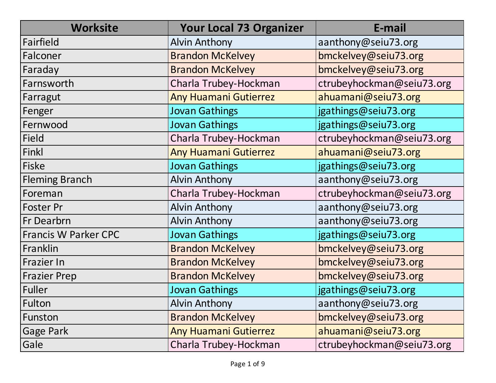| <b>Worksite</b>             | <b>Your Local 73 Organizer</b> | E-mail                    |
|-----------------------------|--------------------------------|---------------------------|
| Fairfield                   | <b>Alvin Anthony</b>           | aanthony@seiu73.org       |
| Falconer                    | <b>Brandon McKelvey</b>        | bmckelvey@seiu73.org      |
| Faraday                     | <b>Brandon McKelvey</b>        | bmckelvey@seiu73.org      |
| Farnsworth                  | Charla Trubey-Hockman          | ctrubeyhockman@seiu73.org |
| Farragut                    | <b>Any Huamani Gutierrez</b>   | ahuamani@seiu73.org       |
| Fenger                      | <b>Jovan Gathings</b>          | jgathings@seiu73.org      |
| Fernwood                    | <b>Jovan Gathings</b>          | jgathings@seiu73.org      |
| <b>Field</b>                | Charla Trubey-Hockman          | ctrubeyhockman@seiu73.org |
| Finkl                       | <b>Any Huamani Gutierrez</b>   | ahuamani@seiu73.org       |
| <b>Fiske</b>                | <b>Jovan Gathings</b>          | jgathings@seiu73.org      |
| <b>Fleming Branch</b>       | <b>Alvin Anthony</b>           | aanthony@seiu73.org       |
| Foreman                     | Charla Trubey-Hockman          | ctrubeyhockman@seiu73.org |
| <b>Foster Pr</b>            | <b>Alvin Anthony</b>           | aanthony@seiu73.org       |
| Fr Dearbrn                  | <b>Alvin Anthony</b>           | aanthony@seiu73.org       |
| <b>Francis W Parker CPC</b> | <b>Jovan Gathings</b>          | jgathings@seiu73.org      |
| Franklin                    | <b>Brandon McKelvey</b>        | bmckelvey@seiu73.org      |
| Frazier In                  | <b>Brandon McKelvey</b>        | bmckelvey@seiu73.org      |
| <b>Frazier Prep</b>         | <b>Brandon McKelvey</b>        | bmckelvey@seiu73.org      |
| <b>Fuller</b>               | <b>Jovan Gathings</b>          | jgathings@seiu73.org      |
| Fulton                      | <b>Alvin Anthony</b>           | aanthony@seiu73.org       |
| Funston                     | <b>Brandon McKelvey</b>        | bmckelvey@seiu73.org      |
| <b>Gage Park</b>            | <b>Any Huamani Gutierrez</b>   | ahuamani@seiu73.org       |
| Gale                        | Charla Trubey-Hockman          | ctrubeyhockman@seiu73.org |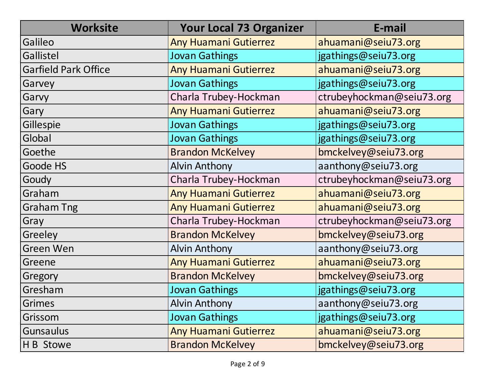| <b>Worksite</b>             | <b>Your Local 73 Organizer</b> | E-mail                    |
|-----------------------------|--------------------------------|---------------------------|
| Galileo                     | <b>Any Huamani Gutierrez</b>   | ahuamani@seiu73.org       |
| Gallistel                   | <b>Jovan Gathings</b>          | jgathings@seiu73.org      |
| <b>Garfield Park Office</b> | <b>Any Huamani Gutierrez</b>   | ahuamani@seiu73.org       |
| Garvey                      | <b>Jovan Gathings</b>          | jgathings@seiu73.org      |
| Garvy                       | Charla Trubey-Hockman          | ctrubeyhockman@seiu73.org |
| Gary                        | <b>Any Huamani Gutierrez</b>   | ahuamani@seiu73.org       |
| Gillespie                   | <b>Jovan Gathings</b>          | jgathings@seiu73.org      |
| Global                      | <b>Jovan Gathings</b>          | jgathings@seiu73.org      |
| Goethe                      | <b>Brandon McKelvey</b>        | bmckelvey@seiu73.org      |
| Goode HS                    | <b>Alvin Anthony</b>           | aanthony@seiu73.org       |
| Goudy                       | Charla Trubey-Hockman          | ctrubeyhockman@seiu73.org |
| Graham                      | <b>Any Huamani Gutierrez</b>   | ahuamani@seiu73.org       |
| <b>Graham Tng</b>           | <b>Any Huamani Gutierrez</b>   | ahuamani@seiu73.org       |
| Gray                        | Charla Trubey-Hockman          | ctrubeyhockman@seiu73.org |
| Greeley                     | <b>Brandon McKelvey</b>        | bmckelvey@seiu73.org      |
| <b>Green Wen</b>            | <b>Alvin Anthony</b>           | aanthony@seiu73.org       |
| Greene                      | <b>Any Huamani Gutierrez</b>   | ahuamani@seiu73.org       |
| Gregory                     | <b>Brandon McKelvey</b>        | bmckelvey@seiu73.org      |
| Gresham                     | <b>Jovan Gathings</b>          | jgathings@seiu73.org      |
| <b>Grimes</b>               | <b>Alvin Anthony</b>           | aanthony@seiu73.org       |
| Grissom                     | <b>Jovan Gathings</b>          | jgathings@seiu73.org      |
| <b>Gunsaulus</b>            | <b>Any Huamani Gutierrez</b>   | ahuamani@seiu73.org       |
| H B Stowe                   | <b>Brandon McKelvey</b>        | bmckelvey@seiu73.org      |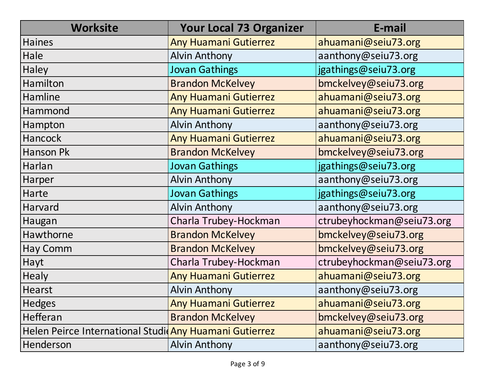| <b>Worksite</b>                                        | <b>Your Local 73 Organizer</b> | E-mail                    |
|--------------------------------------------------------|--------------------------------|---------------------------|
| <b>Haines</b>                                          | <b>Any Huamani Gutierrez</b>   | ahuamani@seiu73.org       |
| Hale                                                   | <b>Alvin Anthony</b>           | aanthony@seiu73.org       |
| Haley                                                  | <b>Jovan Gathings</b>          | jgathings@seiu73.org      |
| Hamilton                                               | <b>Brandon McKelvey</b>        | bmckelvey@seiu73.org      |
| Hamline                                                | <b>Any Huamani Gutierrez</b>   | ahuamani@seiu73.org       |
| Hammond                                                | Any Huamani Gutierrez          | ahuamani@seiu73.org       |
| Hampton                                                | <b>Alvin Anthony</b>           | aanthony@seiu73.org       |
| Hancock                                                | <b>Any Huamani Gutierrez</b>   | ahuamani@seiu73.org       |
| Hanson Pk                                              | <b>Brandon McKelvey</b>        | bmckelvey@seiu73.org      |
| Harlan                                                 | <b>Jovan Gathings</b>          | jgathings@seiu73.org      |
| Harper                                                 | <b>Alvin Anthony</b>           | aanthony@seiu73.org       |
| Harte                                                  | <b>Jovan Gathings</b>          | jgathings@seiu73.org      |
| Harvard                                                | <b>Alvin Anthony</b>           | aanthony@seiu73.org       |
| Haugan                                                 | Charla Trubey-Hockman          | ctrubeyhockman@seiu73.org |
| Hawthorne                                              | <b>Brandon McKelvey</b>        | bmckelvey@seiu73.org      |
| <b>Hay Comm</b>                                        | <b>Brandon McKelvey</b>        | bmckelvey@seiu73.org      |
| Hayt                                                   | Charla Trubey-Hockman          | ctrubeyhockman@seiu73.org |
| <b>Healy</b>                                           | <b>Any Huamani Gutierrez</b>   | ahuamani@seiu73.org       |
| <b>Hearst</b>                                          | <b>Alvin Anthony</b>           | aanthony@seiu73.org       |
| <b>Hedges</b>                                          | <b>Any Huamani Gutierrez</b>   | ahuamani@seiu73.org       |
| Hefferan                                               | <b>Brandon McKelvey</b>        | bmckelvey@seiu73.org      |
| Helen Peirce International Studicany Huamani Gutierrez |                                | ahuamani@seiu73.org       |
| Henderson                                              | <b>Alvin Anthony</b>           | aanthony@seiu73.org       |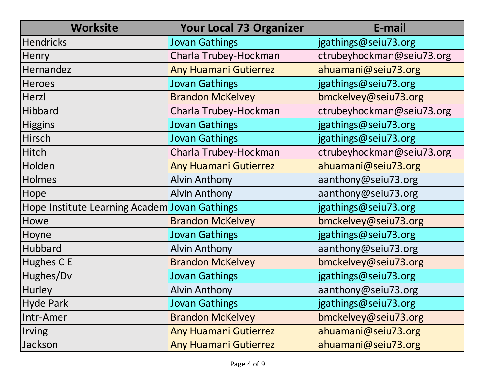| <b>Worksite</b>                               | <b>Your Local 73 Organizer</b> | E-mail                    |
|-----------------------------------------------|--------------------------------|---------------------------|
| <b>Hendricks</b>                              | <b>Jovan Gathings</b>          | jgathings@seiu73.org      |
| <b>Henry</b>                                  | Charla Trubey-Hockman          | ctrubeyhockman@seiu73.org |
| Hernandez                                     | <b>Any Huamani Gutierrez</b>   | ahuamani@seiu73.org       |
| <b>Heroes</b>                                 | <b>Jovan Gathings</b>          | jgathings@seiu73.org      |
| Herzl                                         | <b>Brandon McKelvey</b>        | bmckelvey@seiu73.org      |
| Hibbard                                       | Charla Trubey-Hockman          | ctrubeyhockman@seiu73.org |
| <b>Higgins</b>                                | <b>Jovan Gathings</b>          | jgathings@seiu73.org      |
| Hirsch                                        | <b>Jovan Gathings</b>          | jgathings@seiu73.org      |
| <b>Hitch</b>                                  | Charla Trubey-Hockman          | ctrubeyhockman@seiu73.org |
| Holden                                        | <b>Any Huamani Gutierrez</b>   | ahuamani@seiu73.org       |
| Holmes                                        | <b>Alvin Anthony</b>           | aanthony@seiu73.org       |
| Hope                                          | <b>Alvin Anthony</b>           | aanthony@seiu73.org       |
| Hope Institute Learning Academ Jovan Gathings |                                | jgathings@seiu73.org      |
| Howe                                          | <b>Brandon McKelvey</b>        | bmckelvey@seiu73.org      |
| Hoyne                                         | <b>Jovan Gathings</b>          | jgathings@seiu73.org      |
| Hubbard                                       | <b>Alvin Anthony</b>           | aanthony@seiu73.org       |
| Hughes C E                                    | <b>Brandon McKelvey</b>        | bmckelvey@seiu73.org      |
| Hughes/Dv                                     | <b>Jovan Gathings</b>          | jgathings@seiu73.org      |
| Hurley                                        | <b>Alvin Anthony</b>           | aanthony@seiu73.org       |
| <b>Hyde Park</b>                              | <b>Jovan Gathings</b>          | jgathings@seiu73.org      |
| Intr-Amer                                     | <b>Brandon McKelvey</b>        | bmckelvey@seiu73.org      |
| <b>Irving</b>                                 | <b>Any Huamani Gutierrez</b>   | ahuamani@seiu73.org       |
| Jackson                                       | <b>Any Huamani Gutierrez</b>   | ahuamani@seiu73.org       |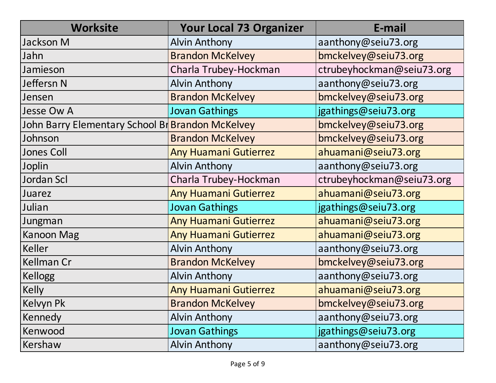| <b>Worksite</b>                                  | <b>Your Local 73 Organizer</b> | E-mail                    |
|--------------------------------------------------|--------------------------------|---------------------------|
| Jackson M                                        | <b>Alvin Anthony</b>           | aanthony@seiu73.org       |
| Jahn                                             | <b>Brandon McKelvey</b>        | bmckelvey@seiu73.org      |
| Jamieson                                         | Charla Trubey-Hockman          | ctrubeyhockman@seiu73.org |
| Jeffersn N                                       | <b>Alvin Anthony</b>           | aanthony@seiu73.org       |
| Jensen                                           | <b>Brandon McKelvey</b>        | bmckelvey@seiu73.org      |
| <b>Jesse Ow A</b>                                | <b>Jovan Gathings</b>          | jgathings@seiu73.org      |
| John Barry Elementary School Br Brandon McKelvey |                                | bmckelvey@seiu73.org      |
| Johnson                                          | <b>Brandon McKelvey</b>        | bmckelvey@seiu73.org      |
| <b>Jones Coll</b>                                | <b>Any Huamani Gutierrez</b>   | ahuamani@seiu73.org       |
| Joplin                                           | <b>Alvin Anthony</b>           | aanthony@seiu73.org       |
| Jordan Scl                                       | Charla Trubey-Hockman          | ctrubeyhockman@seiu73.org |
| Juarez                                           | <b>Any Huamani Gutierrez</b>   | ahuamani@seiu73.org       |
| Julian                                           | <b>Jovan Gathings</b>          | jgathings@seiu73.org      |
| Jungman                                          | <b>Any Huamani Gutierrez</b>   | ahuamani@seiu73.org       |
| <b>Kanoon Mag</b>                                | <b>Any Huamani Gutierrez</b>   | ahuamani@seiu73.org       |
| <b>Keller</b>                                    | <b>Alvin Anthony</b>           | aanthony@seiu73.org       |
| <b>Kellman Cr</b>                                | <b>Brandon McKelvey</b>        | bmckelvey@seiu73.org      |
| <b>Kellogg</b>                                   | <b>Alvin Anthony</b>           | aanthony@seiu73.org       |
| <b>Kelly</b>                                     | <b>Any Huamani Gutierrez</b>   | ahuamani@seiu73.org       |
| Kelvyn Pk                                        | <b>Brandon McKelvey</b>        | bmckelvey@seiu73.org      |
| Kennedy                                          | <b>Alvin Anthony</b>           | aanthony@seiu73.org       |
| Kenwood                                          | <b>Jovan Gathings</b>          | jgathings@seiu73.org      |
| Kershaw                                          | <b>Alvin Anthony</b>           | aanthony@seiu73.org       |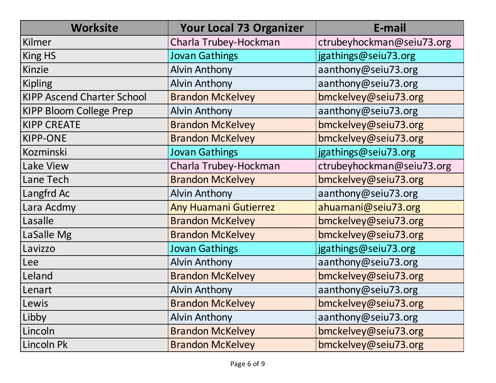| <b>Worksite</b>                   | <b>Your Local 73 Organizer</b> | E-mail                    |
|-----------------------------------|--------------------------------|---------------------------|
| Kilmer                            | Charla Trubey-Hockman          | ctrubeyhockman@seiu73.org |
| King HS                           | <b>Jovan Gathings</b>          | jgathings@seiu73.org      |
| Kinzie                            | <b>Alvin Anthony</b>           | aanthony@seiu73.org       |
| <b>Kipling</b>                    | <b>Alvin Anthony</b>           | aanthony@seiu73.org       |
| <b>KIPP Ascend Charter School</b> | <b>Brandon McKelvey</b>        | bmckelvey@seiu73.org      |
| <b>KIPP Bloom College Prep</b>    | <b>Alvin Anthony</b>           | aanthony@seiu73.org       |
| <b>KIPP CREATE</b>                | <b>Brandon McKelvey</b>        | bmckelvey@seiu73.org      |
| <b>KIPP-ONE</b>                   | <b>Brandon McKelvey</b>        | bmckelvey@seiu73.org      |
| <b>Kozminski</b>                  | <b>Jovan Gathings</b>          | jgathings@seiu73.org      |
| Lake View                         | Charla Trubey-Hockman          | ctrubeyhockman@seiu73.org |
| Lane Tech                         | <b>Brandon McKelvey</b>        | bmckelvey@seiu73.org      |
| Langfrd Ac                        | <b>Alvin Anthony</b>           | aanthony@seiu73.org       |
| Lara Acdmy                        | <b>Any Huamani Gutierrez</b>   | ahuamani@seiu73.org       |
| Lasalle                           | <b>Brandon McKelvey</b>        | bmckelvey@seiu73.org      |
| LaSalle Mg                        | <b>Brandon McKelvey</b>        | bmckelvey@seiu73.org      |
| Lavizzo                           | <b>Jovan Gathings</b>          | jgathings@seiu73.org      |
| Lee                               | <b>Alvin Anthony</b>           | aanthony@seiu73.org       |
| Leland                            | <b>Brandon McKelvey</b>        | bmckelvey@seiu73.org      |
| Lenart                            | <b>Alvin Anthony</b>           | aanthony@seiu73.org       |
| Lewis                             | <b>Brandon McKelvey</b>        | bmckelvey@seiu73.org      |
| Libby                             | <b>Alvin Anthony</b>           | aanthony@seiu73.org       |
| Lincoln                           | <b>Brandon McKelvey</b>        | bmckelvey@seiu73.org      |
| Lincoln Pk                        | <b>Brandon McKelvey</b>        | bmckelvey@seiu73.org      |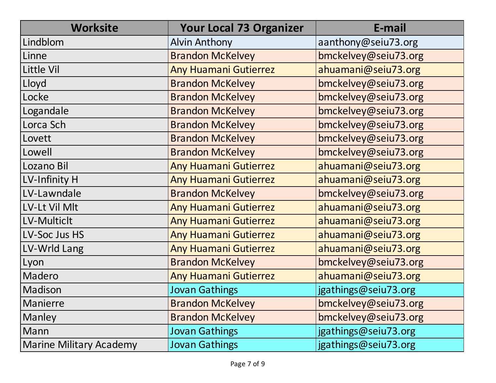| <b>Worksite</b>                | <b>Your Local 73 Organizer</b> | E-mail               |
|--------------------------------|--------------------------------|----------------------|
| Lindblom                       | <b>Alvin Anthony</b>           | aanthony@seiu73.org  |
| Linne                          | <b>Brandon McKelvey</b>        | bmckelvey@seiu73.org |
| <b>Little Vil</b>              | <b>Any Huamani Gutierrez</b>   | ahuamani@seiu73.org  |
| Lloyd                          | <b>Brandon McKelvey</b>        | bmckelvey@seiu73.org |
| Locke                          | <b>Brandon McKelvey</b>        | bmckelvey@seiu73.org |
| Logandale                      | <b>Brandon McKelvey</b>        | bmckelvey@seiu73.org |
| Lorca Sch                      | <b>Brandon McKelvey</b>        | bmckelvey@seiu73.org |
| Lovett                         | <b>Brandon McKelvey</b>        | bmckelvey@seiu73.org |
| Lowell                         | <b>Brandon McKelvey</b>        | bmckelvey@seiu73.org |
| Lozano Bil                     | <b>Any Huamani Gutierrez</b>   | ahuamani@seiu73.org  |
| LV-Infinity H                  | <b>Any Huamani Gutierrez</b>   | ahuamani@seiu73.org  |
| LV-Lawndale                    | <b>Brandon McKelvey</b>        | bmckelvey@seiu73.org |
| LV-Lt Vil Mlt                  | <b>Any Huamani Gutierrez</b>   | ahuamani@seiu73.org  |
| LV-Multiclt                    | <b>Any Huamani Gutierrez</b>   | ahuamani@seiu73.org  |
| LV-Soc Jus HS                  | <b>Any Huamani Gutierrez</b>   | ahuamani@seiu73.org  |
| LV-Wrld Lang                   | <b>Any Huamani Gutierrez</b>   | ahuamani@seiu73.org  |
| Lyon                           | <b>Brandon McKelvey</b>        | bmckelvey@seiu73.org |
| Madero                         | <b>Any Huamani Gutierrez</b>   | ahuamani@seiu73.org  |
| Madison                        | <b>Jovan Gathings</b>          | jgathings@seiu73.org |
| <b>Manierre</b>                | <b>Brandon McKelvey</b>        | bmckelvey@seiu73.org |
| Manley                         | <b>Brandon McKelvey</b>        | bmckelvey@seiu73.org |
| Mann                           | <b>Jovan Gathings</b>          | jgathings@seiu73.org |
| <b>Marine Military Academy</b> | <b>Jovan Gathings</b>          | jgathings@seiu73.org |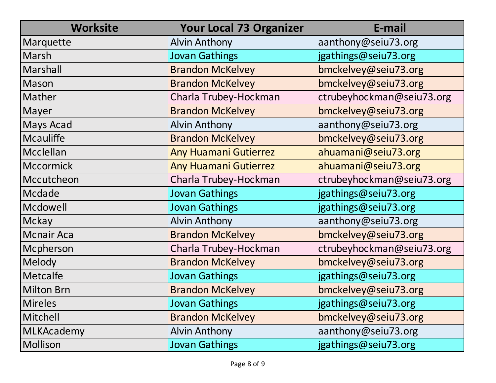| <b>Worksite</b>   | <b>Your Local 73 Organizer</b> | E-mail                    |
|-------------------|--------------------------------|---------------------------|
| Marquette         | <b>Alvin Anthony</b>           | aanthony@seiu73.org       |
| Marsh             | <b>Jovan Gathings</b>          | jgathings@seiu73.org      |
| Marshall          | <b>Brandon McKelvey</b>        | bmckelvey@seiu73.org      |
| Mason             | <b>Brandon McKelvey</b>        | bmckelvey@seiu73.org      |
| Mather            | Charla Trubey-Hockman          | ctrubeyhockman@seiu73.org |
| Mayer             | <b>Brandon McKelvey</b>        | bmckelvey@seiu73.org      |
| Mays Acad         | <b>Alvin Anthony</b>           | aanthony@seiu73.org       |
| <b>Mcauliffe</b>  | <b>Brandon McKelvey</b>        | bmckelvey@seiu73.org      |
| Mcclellan         | <b>Any Huamani Gutierrez</b>   | ahuamani@seiu73.org       |
| <b>Mccormick</b>  | <b>Any Huamani Gutierrez</b>   | ahuamani@seiu73.org       |
| Mccutcheon        | Charla Trubey-Hockman          | ctrubeyhockman@seiu73.org |
| Mcdade            | <b>Jovan Gathings</b>          | jgathings@seiu73.org      |
| Mcdowell          | <b>Jovan Gathings</b>          | jgathings@seiu73.org      |
| Mckay             | <b>Alvin Anthony</b>           | aanthony@seiu73.org       |
| <b>Mcnair Aca</b> | <b>Brandon McKelvey</b>        | bmckelvey@seiu73.org      |
| Mcpherson         | Charla Trubey-Hockman          | ctrubeyhockman@seiu73.org |
| Melody            | <b>Brandon McKelvey</b>        | bmckelvey@seiu73.org      |
| Metcalfe          | <b>Jovan Gathings</b>          | jgathings@seiu73.org      |
| <b>Milton Brn</b> | <b>Brandon McKelvey</b>        | bmckelvey@seiu73.org      |
| <b>Mireles</b>    | <b>Jovan Gathings</b>          | jgathings@seiu73.org      |
| Mitchell          | <b>Brandon McKelvey</b>        | bmckelvey@seiu73.org      |
| <b>MLKAcademy</b> | <b>Alvin Anthony</b>           | aanthony@seiu73.org       |
| Mollison          | <b>Jovan Gathings</b>          | jgathings@seiu73.org      |